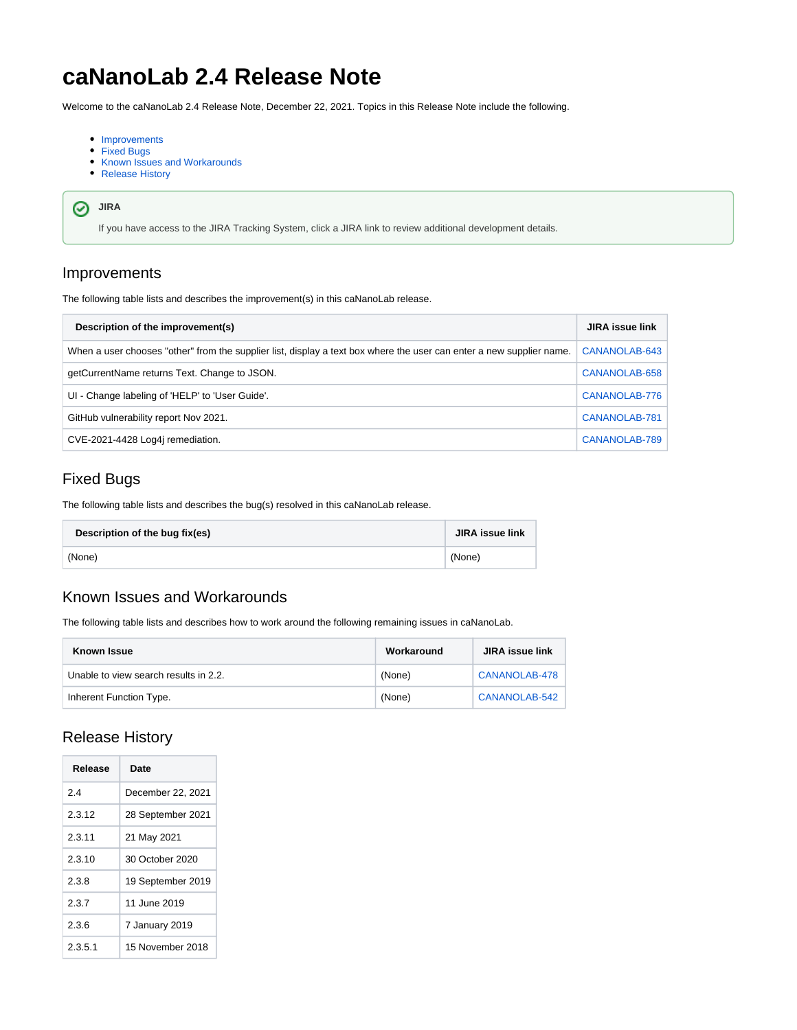# **caNanoLab 2.4 Release Note**

Welcome to the caNanoLab 2.4 Release Note, December 22, 2021. Topics in this Release Note include the following.

- [Improvements](#page-0-0)
- [Fixed Bugs](#page-0-1)
- [Known Issues and Workarounds](#page-0-2)
- [Release History](#page-0-3)

#### **JIRA**

If you have access to the JIRA Tracking System, click a JIRA link to review additional development details.

### <span id="page-0-0"></span>Improvements

The following table lists and describes the improvement(s) in this caNanoLab release.

| Description of the improvement(s)                                                                                    | <b>JIRA issue link</b> |
|----------------------------------------------------------------------------------------------------------------------|------------------------|
| When a user chooses "other" from the supplier list, display a text box where the user can enter a new supplier name. | CANANOLAB-643          |
| getCurrentName returns Text. Change to JSON.                                                                         | CANANOLAB-658          |
| UI - Change labeling of 'HELP' to 'User Guide'.                                                                      | CANANOLAB-776          |
| GitHub vulnerability report Nov 2021.                                                                                | CANANOLAB-781          |
| CVE-2021-4428 Log4j remediation.                                                                                     | CANANOLAB-789          |

# <span id="page-0-1"></span>Fixed Bugs

The following table lists and describes the bug(s) resolved in this caNanoLab release.

| Description of the bug fix(es) | <b>JIRA issue link</b> |
|--------------------------------|------------------------|
| (None)                         | (None)                 |

#### <span id="page-0-2"></span>Known Issues and Workarounds

The following table lists and describes how to work around the following remaining issues in caNanoLab.

| Known Issue                           | Workaround | <b>JIRA</b> issue link |
|---------------------------------------|------------|------------------------|
| Unable to view search results in 2.2. | (None)     | CANANOLAB-478          |
| Inherent Function Type.               | (None)     | CANANOLAB-542          |

# <span id="page-0-3"></span>Release History

| Release | Date              |
|---------|-------------------|
| 24      | December 22, 2021 |
| 2.3.12  | 28 September 2021 |
| 2.3.11  | 21 May 2021       |
| 2.3.10  | 30 October 2020   |
| 2.3.8   | 19 September 2019 |
| 2.3.7   | 11 June 2019      |
| 2.3.6   | 7 January 2019    |
| 2.3.5.1 | 15 November 2018  |